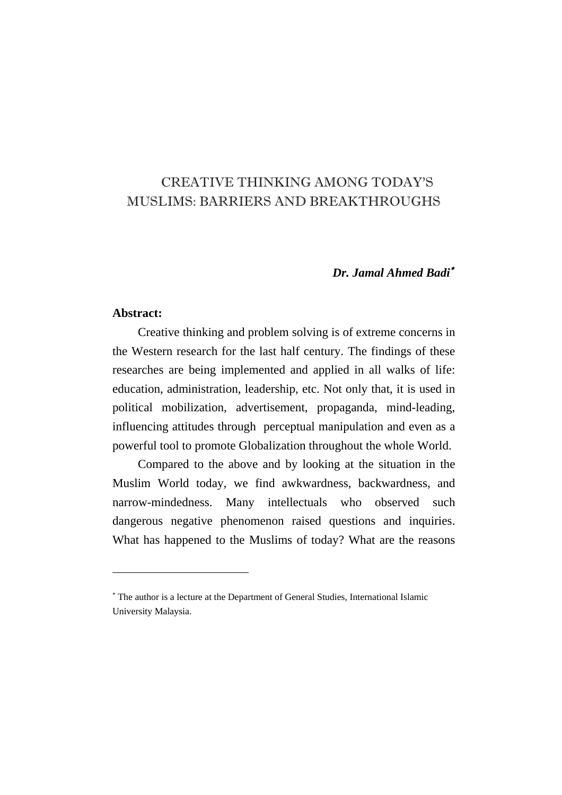# CREATIVE THINKING AMONG TODAY'S MUSLIMS: BARRIERS AND BREAKTHROUGHS

## *Dr. Jamal Ahmed Badi*<sup>∗</sup>

#### **Abstract:**

 $\overline{a}$ 

Creative thinking and problem solving is of extreme concerns in the Western research for the last half century. The findings of these researches are being implemented and applied in all walks of life: education, administration, leadership, etc. Not only that, it is used in political mobilization, advertisement, propaganda, mind-leading, influencing attitudes through perceptual manipulation and even as a powerful tool to promote Globalization throughout the whole World.

Compared to the above and by looking at the situation in the Muslim World today, we find awkwardness, backwardness, and narrow-mindedness. Many intellectuals who observed such dangerous negative phenomenon raised questions and inquiries. What has happened to the Muslims of today? What are the reasons

<sup>∗</sup> The author is a lecture at the Department of General Studies, International Islamic University Malaysia.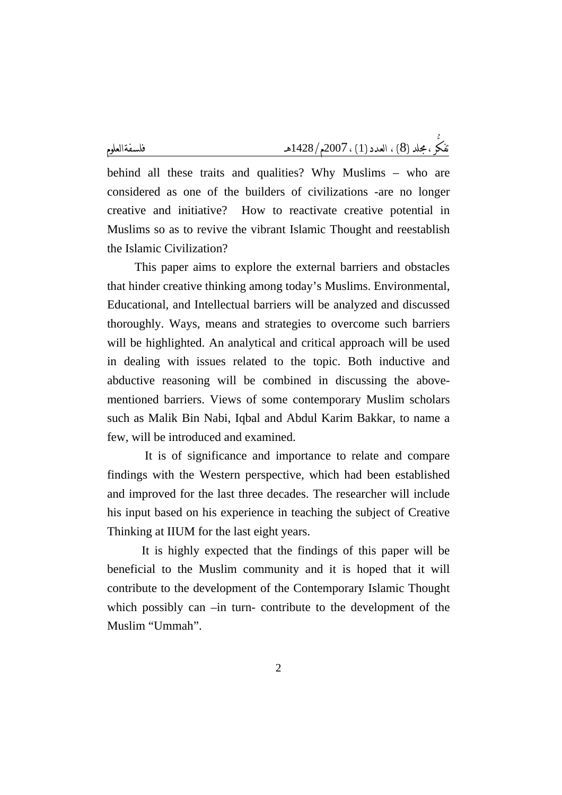behind all these traits and qualities? Why Muslims – who are considered as one of the builders of civilizations -are no longer creative and initiative? How to reactivate creative potential in Muslims so as to revive the vibrant Islamic Thought and reestablish the Islamic Civilization?

 This paper aims to explore the external barriers and obstacles that hinder creative thinking among today's Muslims. Environmental, Educational, and Intellectual barriers will be analyzed and discussed thoroughly. Ways, means and strategies to overcome such barriers will be highlighted. An analytical and critical approach will be used in dealing with issues related to the topic. Both inductive and abductive reasoning will be combined in discussing the abovementioned barriers. Views of some contemporary Muslim scholars such as Malik Bin Nabi, Iqbal and Abdul Karim Bakkar, to name a few, will be introduced and examined.

 It is of significance and importance to relate and compare findings with the Western perspective, which had been established and improved for the last three decades. The researcher will include his input based on his experience in teaching the subject of Creative Thinking at IIUM for the last eight years.

 It is highly expected that the findings of this paper will be beneficial to the Muslim community and it is hoped that it will contribute to the development of the Contemporary Islamic Thought which possibly can –in turn- contribute to the development of the Muslim "Ummah".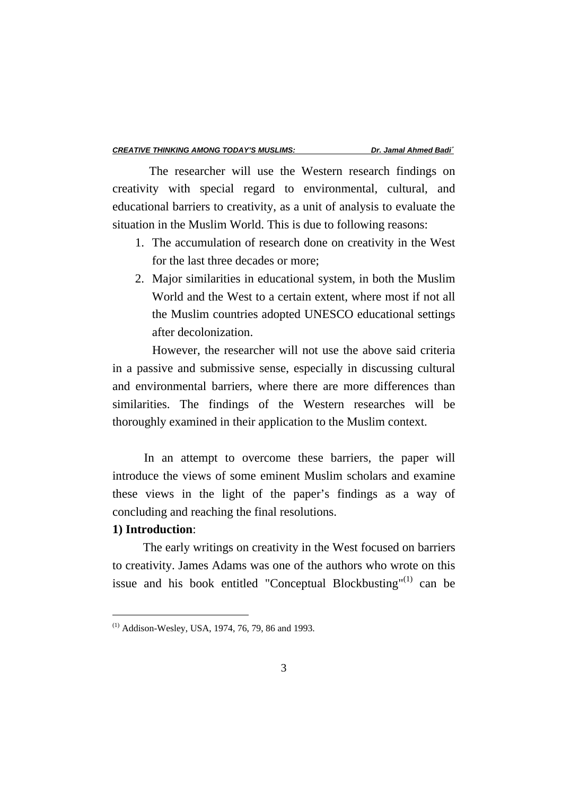The researcher will use the Western research findings on creativity with special regard to environmental, cultural, and educational barriers to creativity, as a unit of analysis to evaluate the situation in the Muslim World. This is due to following reasons:

- 1. The accumulation of research done on creativity in the West for the last three decades or more;
- 2. Major similarities in educational system, in both the Muslim World and the West to a certain extent, where most if not all the Muslim countries adopted UNESCO educational settings after decolonization.

 However, the researcher will not use the above said criteria in a passive and submissive sense, especially in discussing cultural and environmental barriers, where there are more differences than similarities. The findings of the Western researches will be thoroughly examined in their application to the Muslim context.

 In an attempt to overcome these barriers, the paper will introduce the views of some eminent Muslim scholars and examine these views in the light of the paper's findings as a way of concluding and reaching the final resolutions.

# **1) Introduction**:

 $\overline{a}$ 

 The early writings on creativity in the West focused on barriers to creativity. James Adams was one of the authors who wrote on this issue and his book entitled "Conceptual Blockbusting"<sup>(1)</sup> can be

<sup>(1)</sup> Addison-Wesley, USA, 1974, 76, 79, 86 and 1993.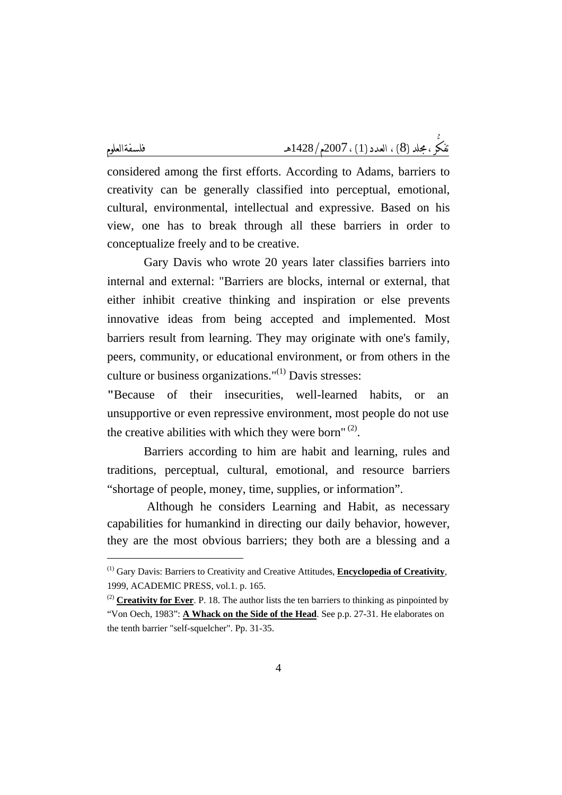$\overline{a}$ 

considered among the first efforts. According to Adams, barriers to creativity can be generally classified into perceptual, emotional, cultural, environmental, intellectual and expressive. Based on his view, one has to break through all these barriers in order to conceptualize freely and to be creative.

 Gary Davis who wrote 20 years later classifies barriers into internal and external: "Barriers are blocks, internal or external, that either inhibit creative thinking and inspiration or else prevents innovative ideas from being accepted and implemented. Most barriers result from learning. They may originate with one's family, peers, community, or educational environment, or from others in the culture or business organizations." $^{(1)}$  Davis stresses:

**"**Because of their insecurities, well-learned habits, or an unsupportive or even repressive environment, most people do not use the creative abilities with which they were born" $(2)$ .

 Barriers according to him are habit and learning, rules and traditions, perceptual, cultural, emotional, and resource barriers "shortage of people, money, time, supplies, or information".

 Although he considers Learning and Habit, as necessary capabilities for humankind in directing our daily behavior, however, they are the most obvious barriers; they both are a blessing and a

<sup>(1)</sup> Gary Davis: Barriers to Creativity and Creative Attitudes, **Encyclopedia of Creativity**, 1999, ACADEMIC PRESS, vol.1. p. 165.

<sup>&</sup>lt;sup>(2)</sup> **Creativity for Ever**. P. 18. The author lists the ten barriers to thinking as pinpointed by "Von Oech, 1983": **A Whack on the Side of the Head**. See p.p. 27-31. He elaborates on the tenth barrier "self-squelcher". Pp. 31-35.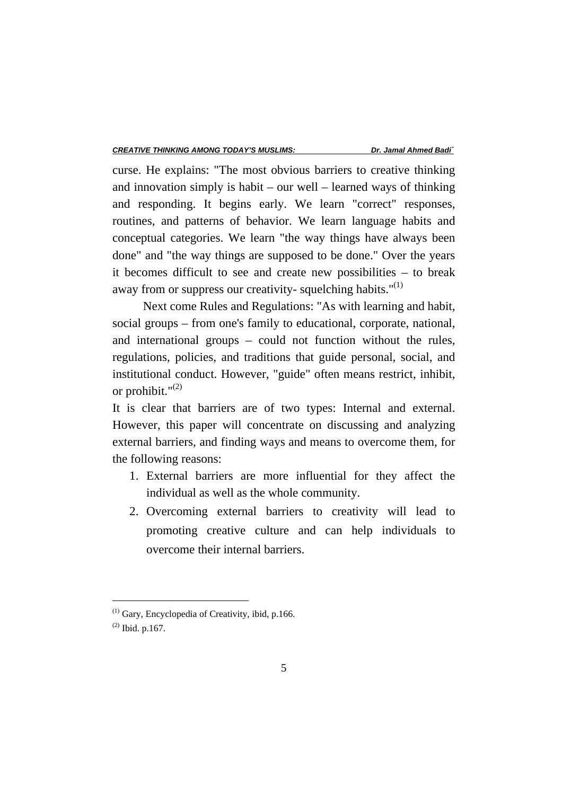curse. He explains: "The most obvious barriers to creative thinking and innovation simply is habit – our well – learned ways of thinking and responding. It begins early. We learn "correct" responses, routines, and patterns of behavior. We learn language habits and conceptual categories. We learn "the way things have always been done" and "the way things are supposed to be done." Over the years it becomes difficult to see and create new possibilities – to break away from or suppress our creativity-squelching habits." $(1)$ 

 Next come Rules and Regulations: "As with learning and habit, social groups – from one's family to educational, corporate, national, and international groups – could not function without the rules, regulations, policies, and traditions that guide personal, social, and institutional conduct. However, "guide" often means restrict, inhibit, or prohibit." $^{(2)}$ 

It is clear that barriers are of two types: Internal and external. However, this paper will concentrate on discussing and analyzing external barriers, and finding ways and means to overcome them, for the following reasons:

- 1. External barriers are more influential for they affect the individual as well as the whole community.
- 2. Overcoming external barriers to creativity will lead to promoting creative culture and can help individuals to overcome their internal barriers.

 $(1)$  Gary, Encyclopedia of Creativity, ibid, p.166.

 $(2)$  Ibid. p.167.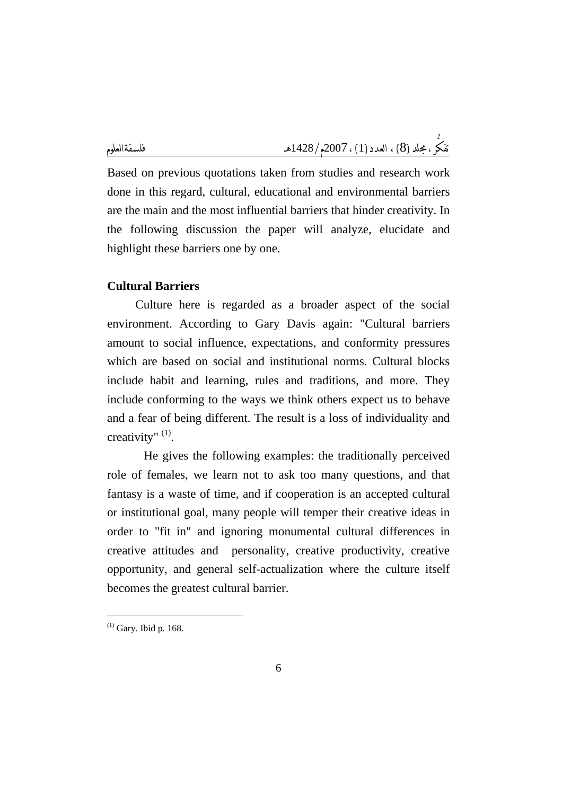Based on previous quotations taken from studies and research work done in this regard, cultural, educational and environmental barriers are the main and the most influential barriers that hinder creativity. In the following discussion the paper will analyze, elucidate and highlight these barriers one by one.

# **Cultural Barriers**

Culture here is regarded as a broader aspect of the social environment. According to Gary Davis again: "Cultural barriers amount to social influence, expectations, and conformity pressures which are based on social and institutional norms. Cultural blocks include habit and learning, rules and traditions, and more. They include conforming to the ways we think others expect us to behave and a fear of being different. The result is a loss of individuality and creativity" (1).

 He gives the following examples: the traditionally perceived role of females, we learn not to ask too many questions, and that fantasy is a waste of time, and if cooperation is an accepted cultural or institutional goal, many people will temper their creative ideas in order to "fit in" and ignoring monumental cultural differences in creative attitudes and personality, creative productivity, creative opportunity, and general self-actualization where the culture itself becomes the greatest cultural barrier.

 $(1)$  Gary. Ibid p. 168.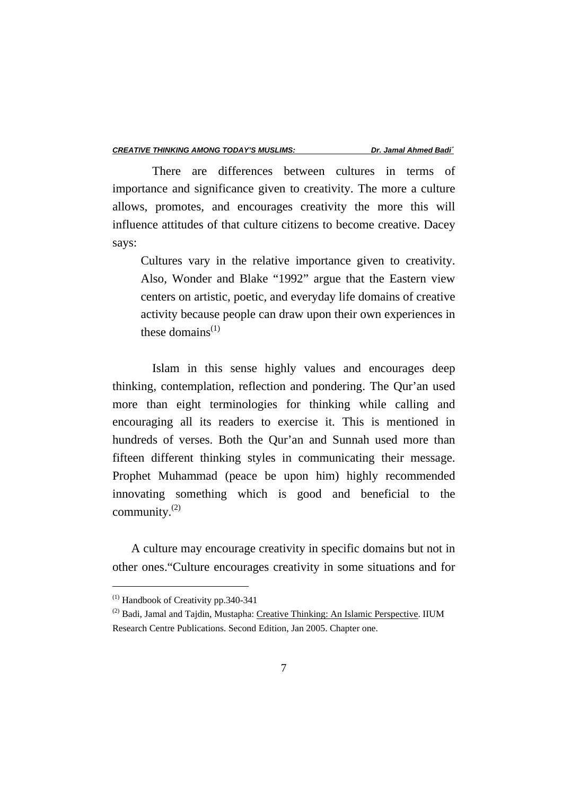There are differences between cultures in terms of importance and significance given to creativity. The more a culture allows, promotes, and encourages creativity the more this will influence attitudes of that culture citizens to become creative. Dacey says:

Cultures vary in the relative importance given to creativity. Also, Wonder and Blake "1992" argue that the Eastern view centers on artistic, poetic, and everyday life domains of creative activity because people can draw upon their own experiences in these domains $^{(1)}$ 

 Islam in this sense highly values and encourages deep thinking, contemplation, reflection and pondering. The Qur'an used more than eight terminologies for thinking while calling and encouraging all its readers to exercise it. This is mentioned in hundreds of verses. Both the Qur'an and Sunnah used more than fifteen different thinking styles in communicating their message. Prophet Muhammad (peace be upon him) highly recommended innovating something which is good and beneficial to the community. $^{(2)}$ 

 A culture may encourage creativity in specific domains but not in other ones."Culture encourages creativity in some situations and for

 $(1)$  Handbook of Creativity pp. 340-341

<sup>(2)</sup> Badi, Jamal and Tajdin, Mustapha: Creative Thinking: An Islamic Perspective. IIUM Research Centre Publications. Second Edition, Jan 2005. Chapter one.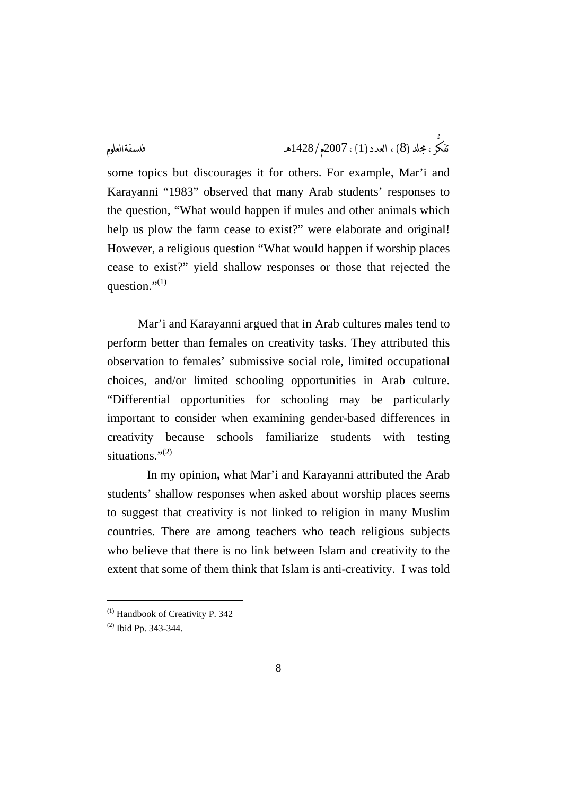some topics but discourages it for others. For example, Mar'i and Karayanni "1983" observed that many Arab students' responses to the question, "What would happen if mules and other animals which help us plow the farm cease to exist?" were elaborate and original! However, a religious question "What would happen if worship places cease to exist?" yield shallow responses or those that rejected the question." $(1)$ 

 Mar'i and Karayanni argued that in Arab cultures males tend to perform better than females on creativity tasks. They attributed this observation to females' submissive social role, limited occupational choices, and/or limited schooling opportunities in Arab culture. "Differential opportunities for schooling may be particularly important to consider when examining gender-based differences in creativity because schools familiarize students with testing situations."<sup>(2)</sup>

In my opinion**,** what Mar'i and Karayanni attributed the Arab students' shallow responses when asked about worship places seems to suggest that creativity is not linked to religion in many Muslim countries. There are among teachers who teach religious subjects who believe that there is no link between Islam and creativity to the extent that some of them think that Islam is anti-creativity. I was told

 $(1)$  Handbook of Creativity P. 342

<sup>(2)</sup> Ibid Pp. 343-344.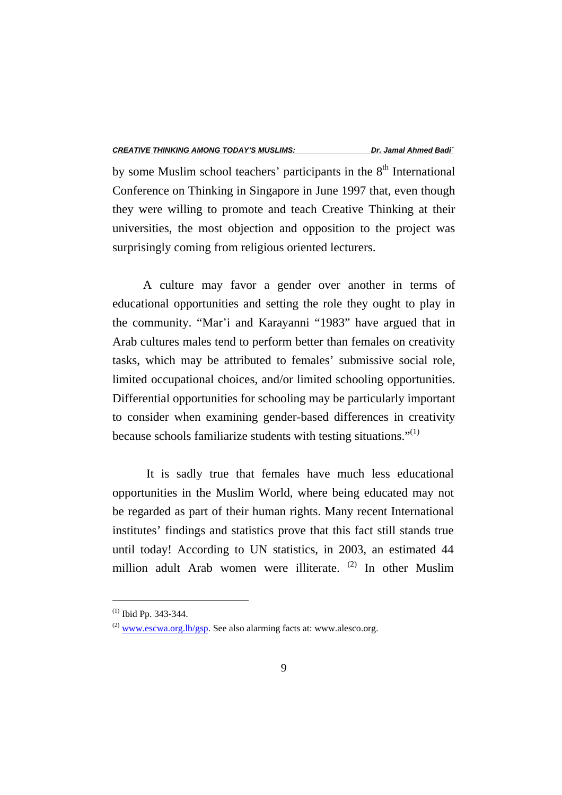by some Muslim school teachers' participants in the  $8<sup>th</sup>$  International Conference on Thinking in Singapore in June 1997 that, even though they were willing to promote and teach Creative Thinking at their universities, the most objection and opposition to the project was surprisingly coming from religious oriented lecturers.

 A culture may favor a gender over another in terms of educational opportunities and setting the role they ought to play in the community. "Mar'i and Karayanni "1983" have argued that in Arab cultures males tend to perform better than females on creativity tasks, which may be attributed to females' submissive social role, limited occupational choices, and/or limited schooling opportunities. Differential opportunities for schooling may be particularly important to consider when examining gender-based differences in creativity because schools familiarize students with testing situations." $(1)$ 

It is sadly true that females have much less educational opportunities in the Muslim World, where being educated may not be regarded as part of their human rights. Many recent International institutes' findings and statistics prove that this fact still stands true until today! According to UN statistics, in 2003, an estimated 44 million adult Arab women were illiterate. (2) In other Muslim

 $^{(1)}$  Ibid Pp. 343-344.

 $^{(2)}$  www.escwa.org.lb/gsp. See also alarming facts at: www.alesco.org.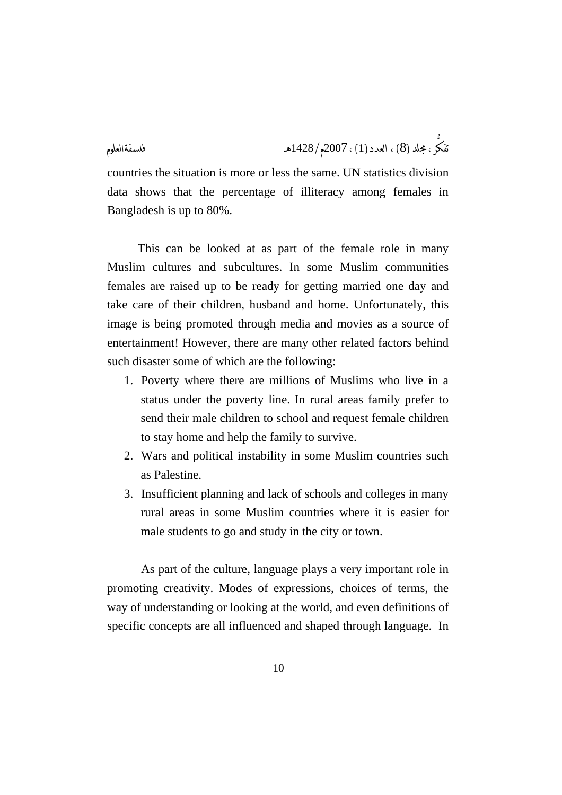countries the situation is more or less the same. UN statistics division data shows that the percentage of illiteracy among females in Bangladesh is up to 80%.

 This can be looked at as part of the female role in many Muslim cultures and subcultures. In some Muslim communities females are raised up to be ready for getting married one day and take care of their children, husband and home. Unfortunately, this image is being promoted through media and movies as a source of entertainment! However, there are many other related factors behind such disaster some of which are the following:

- 1. Poverty where there are millions of Muslims who live in a status under the poverty line. In rural areas family prefer to send their male children to school and request female children to stay home and help the family to survive.
- 2. Wars and political instability in some Muslim countries such as Palestine.
- 3. Insufficient planning and lack of schools and colleges in many rural areas in some Muslim countries where it is easier for male students to go and study in the city or town.

As part of the culture, language plays a very important role in promoting creativity. Modes of expressions, choices of terms, the way of understanding or looking at the world, and even definitions of specific concepts are all influenced and shaped through language. In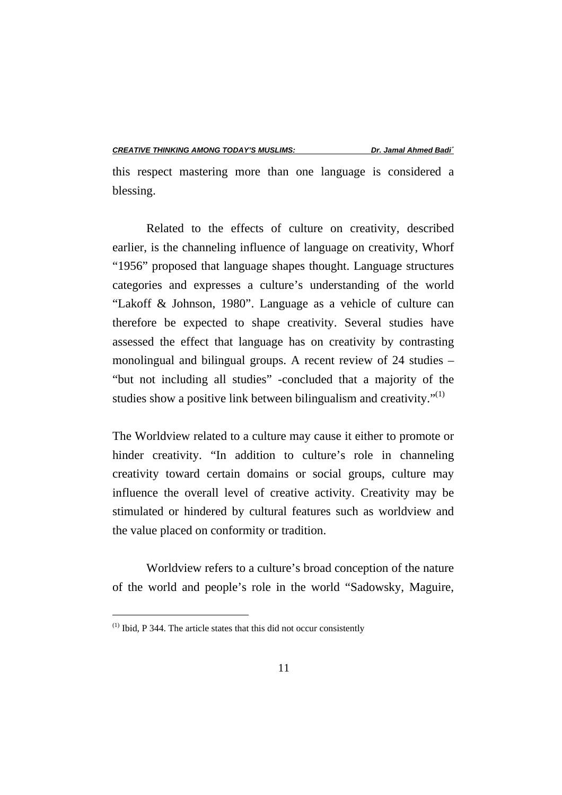this respect mastering more than one language is considered a blessing.

Related to the effects of culture on creativity, described earlier, is the channeling influence of language on creativity, Whorf "1956" proposed that language shapes thought. Language structures categories and expresses a culture's understanding of the world "Lakoff & Johnson, 1980". Language as a vehicle of culture can therefore be expected to shape creativity. Several studies have assessed the effect that language has on creativity by contrasting monolingual and bilingual groups. A recent review of 24 studies – "but not including all studies" -concluded that a majority of the studies show a positive link between bilingualism and creativity."<sup>(1)</sup>

The Worldview related to a culture may cause it either to promote or hinder creativity. "In addition to culture's role in channeling creativity toward certain domains or social groups, culture may influence the overall level of creative activity. Creativity may be stimulated or hindered by cultural features such as worldview and the value placed on conformity or tradition.

Worldview refers to a culture's broad conception of the nature of the world and people's role in the world "Sadowsky, Maguire,

 $(1)$  Ibid, P 344. The article states that this did not occur consistently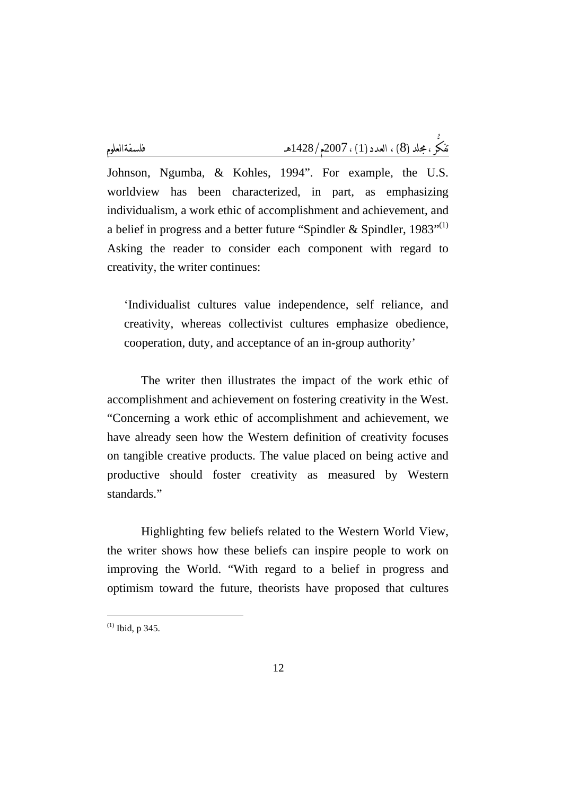Johnson, Ngumba, & Kohles, 1994". For example, the U.S. worldview has been characterized, in part, as emphasizing individualism, a work ethic of accomplishment and achievement, and a belief in progress and a better future "Spindler & Spindler,  $1983$ "<sup>(1)</sup> Asking the reader to consider each component with regard to creativity, the writer continues:

'Individualist cultures value independence, self reliance, and creativity, whereas collectivist cultures emphasize obedience, cooperation, duty, and acceptance of an in-group authority'

The writer then illustrates the impact of the work ethic of accomplishment and achievement on fostering creativity in the West. "Concerning a work ethic of accomplishment and achievement, we have already seen how the Western definition of creativity focuses on tangible creative products. The value placed on being active and productive should foster creativity as measured by Western standards."

Highlighting few beliefs related to the Western World View, the writer shows how these beliefs can inspire people to work on improving the World. "With regard to a belief in progress and optimism toward the future, theorists have proposed that cultures

 $(1)$  Ibid, p 345.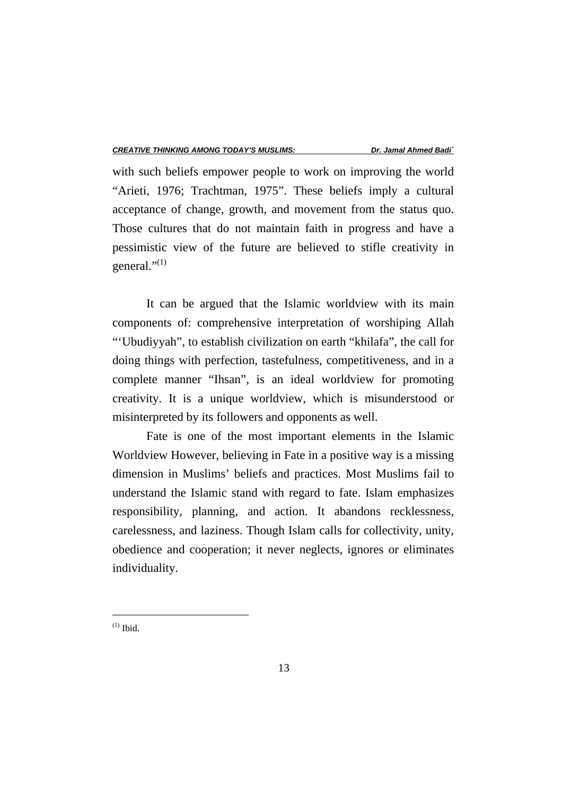with such beliefs empower people to work on improving the world "Arieti, 1976; Trachtman, 1975". These beliefs imply a cultural acceptance of change, growth, and movement from the status quo. Those cultures that do not maintain faith in progress and have a pessimistic view of the future are believed to stifle creativity in general." $^{(1)}$ 

It can be argued that the Islamic worldview with its main components of: comprehensive interpretation of worshiping Allah "'Ubudiyyah", to establish civilization on earth "khilafa", the call for doing things with perfection, tastefulness, competitiveness, and in a complete manner "Ihsan", is an ideal worldview for promoting creativity. It is a unique worldview, which is misunderstood or misinterpreted by its followers and opponents as well.

Fate is one of the most important elements in the Islamic Worldview However, believing in Fate in a positive way is a missing dimension in Muslims' beliefs and practices. Most Muslims fail to understand the Islamic stand with regard to fate. Islam emphasizes responsibility, planning, and action. It abandons recklessness, carelessness, and laziness. Though Islam calls for collectivity, unity, obedience and cooperation; it never neglects, ignores or eliminates individuality.

 $^{(1)}$  Ibid.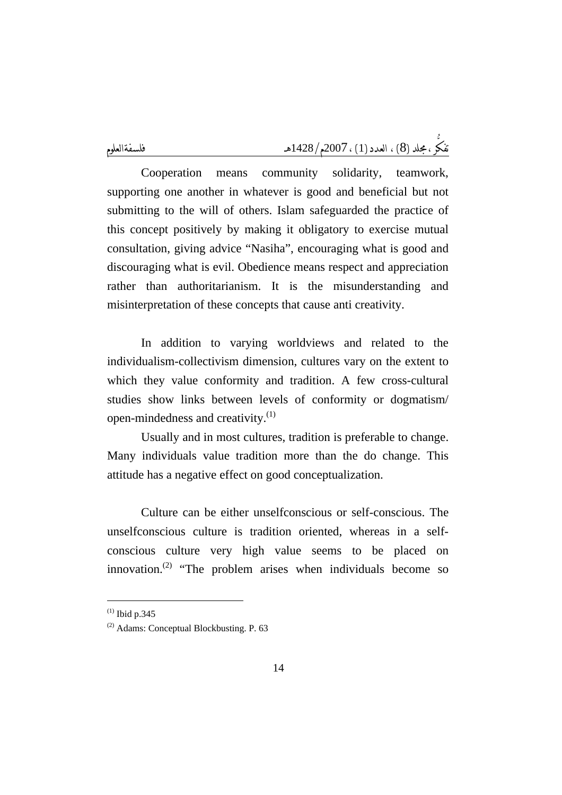Cooperation means community solidarity, teamwork, supporting one another in whatever is good and beneficial but not submitting to the will of others. Islam safeguarded the practice of this concept positively by making it obligatory to exercise mutual consultation, giving advice "Nasiha", encouraging what is good and discouraging what is evil. Obedience means respect and appreciation rather than authoritarianism. It is the misunderstanding and misinterpretation of these concepts that cause anti creativity.

In addition to varying worldviews and related to the individualism-collectivism dimension, cultures vary on the extent to which they value conformity and tradition. A few cross-cultural studies show links between levels of conformity or dogmatism/ open-mindedness and creativity.<sup>(1)</sup>

Usually and in most cultures, tradition is preferable to change. Many individuals value tradition more than the do change. This attitude has a negative effect on good conceptualization.

Culture can be either unselfconscious or self-conscious. The unselfconscious culture is tradition oriented, whereas in a selfconscious culture very high value seems to be placed on innovation. $^{(2)}$  "The problem arises when individuals become so

 $^{(1)}$  Ibid p.345

<sup>(2)</sup> Adams: Conceptual Blockbusting. P. 63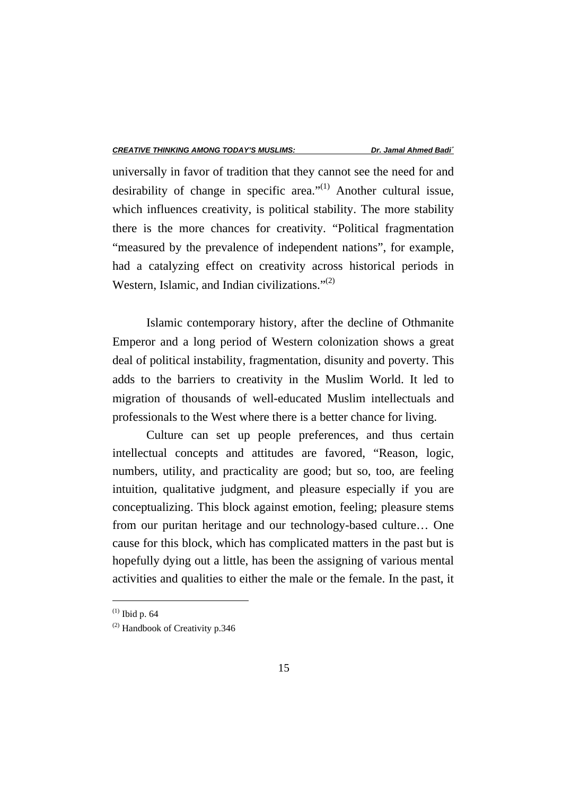universally in favor of tradition that they cannot see the need for and desirability of change in specific area." $^{(1)}$  Another cultural issue, which influences creativity, is political stability. The more stability there is the more chances for creativity. "Political fragmentation "measured by the prevalence of independent nations", for example, had a catalyzing effect on creativity across historical periods in Western, Islamic, and Indian civilizations." $^{(2)}$ 

Islamic contemporary history, after the decline of Othmanite Emperor and a long period of Western colonization shows a great deal of political instability, fragmentation, disunity and poverty. This adds to the barriers to creativity in the Muslim World. It led to migration of thousands of well-educated Muslim intellectuals and professionals to the West where there is a better chance for living.

Culture can set up people preferences, and thus certain intellectual concepts and attitudes are favored, "Reason, logic, numbers, utility, and practicality are good; but so, too, are feeling intuition, qualitative judgment, and pleasure especially if you are conceptualizing. This block against emotion, feeling; pleasure stems from our puritan heritage and our technology-based culture… One cause for this block, which has complicated matters in the past but is hopefully dying out a little, has been the assigning of various mental activities and qualities to either the male or the female. In the past, it

 $(1)$  Ibid p. 64

 $(2)$  Handbook of Creativity p.346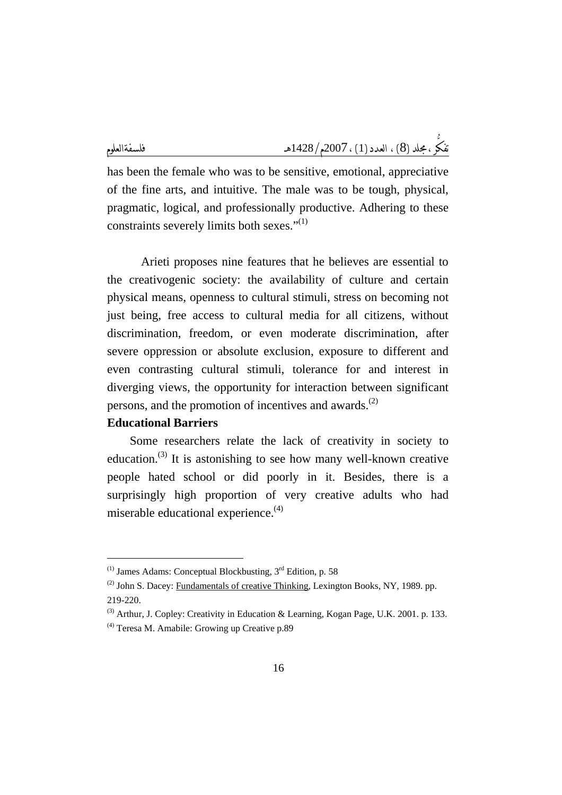has been the female who was to be sensitive, emotional, appreciative of the fine arts, and intuitive. The male was to be tough, physical, pragmatic, logical, and professionally productive. Adhering to these constraints severely limits both sexes." $(1)$ 

Arieti proposes nine features that he believes are essential to the creativogenic society: the availability of culture and certain physical means, openness to cultural stimuli, stress on becoming not just being, free access to cultural media for all citizens, without discrimination, freedom, or even moderate discrimination, after severe oppression or absolute exclusion, exposure to different and even contrasting cultural stimuli, tolerance for and interest in diverging views, the opportunity for interaction between significant persons, and the promotion of incentives and awards. $(2)$ 

#### **Educational Barriers**

Some researchers relate the lack of creativity in society to education.<sup>(3)</sup> It is astonishing to see how many well-known creative people hated school or did poorly in it. Besides, there is a surprisingly high proportion of very creative adults who had miserable educational experience. $(4)$ 

 $(1)$  James Adams: Conceptual Blockbusting,  $3<sup>rd</sup>$  Edition, p. 58

 $(2)$  John S. Dacey: Fundamentals of creative Thinking, Lexington Books, NY, 1989. pp.

<sup>219-220.</sup> 

<sup>(3)</sup> Arthur, J. Copley: Creativity in Education & Learning, Kogan Page, U.K. 2001. p. 133.

<sup>(4)</sup> Teresa M. Amabile: Growing up Creative p.89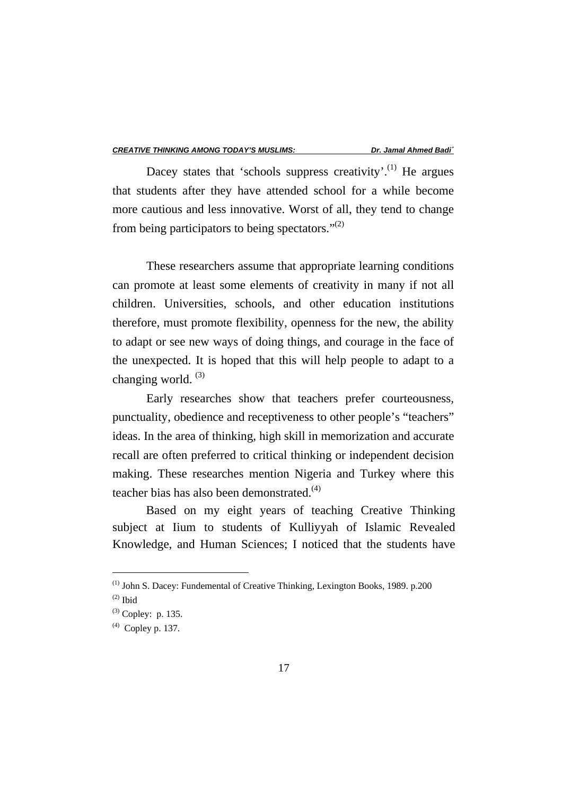Dacey states that 'schools suppress creativity'.<sup>(1)</sup> He argues that students after they have attended school for a while become more cautious and less innovative. Worst of all, they tend to change from being participators to being spectators." $(2)$ 

These researchers assume that appropriate learning conditions can promote at least some elements of creativity in many if not all children. Universities, schools, and other education institutions therefore, must promote flexibility, openness for the new, the ability to adapt or see new ways of doing things, and courage in the face of the unexpected. It is hoped that this will help people to adapt to a changing world.  $(3)$ 

Early researches show that teachers prefer courteousness, punctuality, obedience and receptiveness to other people's "teachers" ideas. In the area of thinking, high skill in memorization and accurate recall are often preferred to critical thinking or independent decision making. These researches mention Nigeria and Turkey where this teacher bias has also been demonstrated.<sup>(4)</sup>

 Based on my eight years of teaching Creative Thinking subject at Iium to students of Kulliyyah of Islamic Revealed Knowledge, and Human Sciences; I noticed that the students have

<sup>(1)</sup> John S. Dacey: Fundemental of Creative Thinking, Lexington Books, 1989. p.200

 $(2)$  Ibid

 $^{(3)}$  Copley: p. 135.

 $^{(4)}$  Copley p. 137.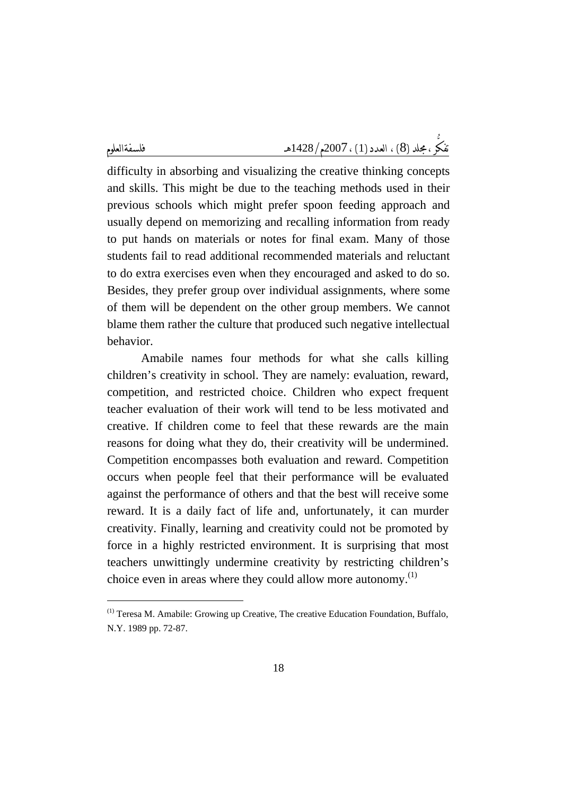$\overline{a}$ 

difficulty in absorbing and visualizing the creative thinking concepts and skills. This might be due to the teaching methods used in their previous schools which might prefer spoon feeding approach and usually depend on memorizing and recalling information from ready to put hands on materials or notes for final exam. Many of those students fail to read additional recommended materials and reluctant to do extra exercises even when they encouraged and asked to do so. Besides, they prefer group over individual assignments, where some of them will be dependent on the other group members. We cannot blame them rather the culture that produced such negative intellectual behavior.

Amabile names four methods for what she calls killing children's creativity in school. They are namely: evaluation, reward, competition, and restricted choice. Children who expect frequent teacher evaluation of their work will tend to be less motivated and creative. If children come to feel that these rewards are the main reasons for doing what they do, their creativity will be undermined. Competition encompasses both evaluation and reward. Competition occurs when people feel that their performance will be evaluated against the performance of others and that the best will receive some reward. It is a daily fact of life and, unfortunately, it can murder creativity. Finally, learning and creativity could not be promoted by force in a highly restricted environment. It is surprising that most teachers unwittingly undermine creativity by restricting children's choice even in areas where they could allow more autonomy.<sup>(1)</sup>

<sup>(1)</sup> Teresa M. Amabile: Growing up Creative, The creative Education Foundation, Buffalo, N.Y. 1989 pp. 72-87.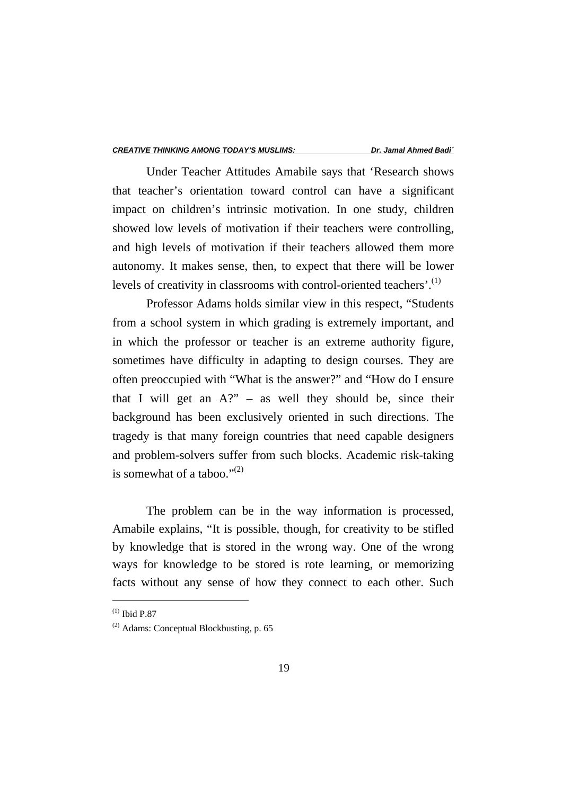Under Teacher Attitudes Amabile says that 'Research shows that teacher's orientation toward control can have a significant impact on children's intrinsic motivation. In one study, children showed low levels of motivation if their teachers were controlling, and high levels of motivation if their teachers allowed them more autonomy. It makes sense, then, to expect that there will be lower levels of creativity in classrooms with control-oriented teachers'.<sup>(1)</sup>

Professor Adams holds similar view in this respect, "Students from a school system in which grading is extremely important, and in which the professor or teacher is an extreme authority figure, sometimes have difficulty in adapting to design courses. They are often preoccupied with "What is the answer?" and "How do I ensure that I will get an  $A$ ?" – as well they should be, since their background has been exclusively oriented in such directions. The tragedy is that many foreign countries that need capable designers and problem-solvers suffer from such blocks. Academic risk-taking is somewhat of a taboo." $^{(2)}$ 

The problem can be in the way information is processed, Amabile explains, "It is possible, though, for creativity to be stifled by knowledge that is stored in the wrong way. One of the wrong ways for knowledge to be stored is rote learning, or memorizing facts without any sense of how they connect to each other. Such

 $(1)$  Ibid P.87

<sup>(2)</sup> Adams: Conceptual Blockbusting, p. 65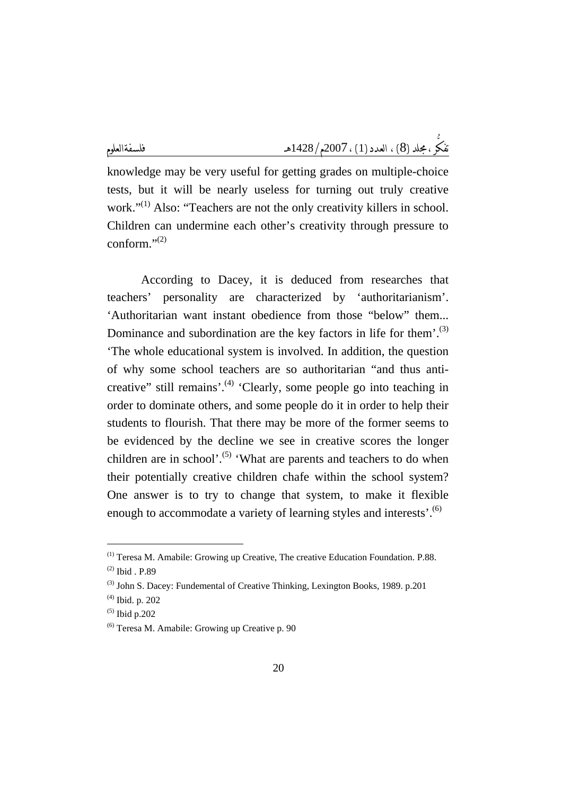knowledge may be very useful for getting grades on multiple-choice tests, but it will be nearly useless for turning out truly creative work."<sup>(1)</sup> Also: "Teachers are not the only creativity killers in school. Children can undermine each other's creativity through pressure to conform." $^{(2)}$ 

According to Dacey, it is deduced from researches that teachers' personality are characterized by 'authoritarianism'. 'Authoritarian want instant obedience from those "below" them... Dominance and subordination are the key factors in life for them'.<sup>(3)</sup> 'The whole educational system is involved. In addition, the question of why some school teachers are so authoritarian "and thus anticreative" still remains'.<sup>(4)</sup> 'Clearly, some people go into teaching in order to dominate others, and some people do it in order to help their students to flourish. That there may be more of the former seems to be evidenced by the decline we see in creative scores the longer children are in school'. $^{(5)}$  'What are parents and teachers to do when their potentially creative children chafe within the school system? One answer is to try to change that system, to make it flexible enough to accommodate a variety of learning styles and interests'.<sup>(6)</sup>

<sup>(1)</sup> Teresa M. Amabile: Growing up Creative, The creative Education Foundation. P.88.

<sup>(2)</sup> Ibid . P.89

 $^{(3)}$  John S. Dacey: Fundemental of Creative Thinking, Lexington Books, 1989. p.201

<sup>(4)</sup> Ibid. p. 202

 $(5)$  Ibid p.202

 $(6)$  Teresa M. Amabile: Growing up Creative p. 90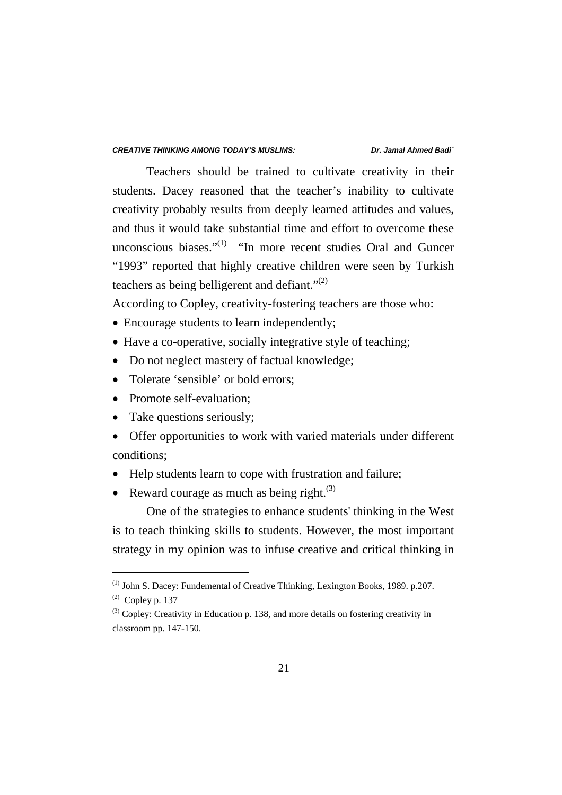Teachers should be trained to cultivate creativity in their students. Dacey reasoned that the teacher's inability to cultivate creativity probably results from deeply learned attitudes and values, and thus it would take substantial time and effort to overcome these unconscious biases." $^{(1)}$  "In more recent studies Oral and Guncer" "1993" reported that highly creative children were seen by Turkish teachers as being belligerent and defiant." $^{(2)}$ 

According to Copley, creativity-fostering teachers are those who:

- Encourage students to learn independently;
- Have a co-operative, socially integrative style of teaching;
- Do not neglect mastery of factual knowledge;
- Tolerate 'sensible' or bold errors:
- Promote self-evaluation:
- Take questions seriously;
- Offer opportunities to work with varied materials under different conditions;
- Help students learn to cope with frustration and failure;
- Reward courage as much as being right. $^{(3)}$

One of the strategies to enhance students' thinking in the West is to teach thinking skills to students. However, the most important strategy in my opinion was to infuse creative and critical thinking in

<sup>(1)</sup> John S. Dacey: Fundemental of Creative Thinking, Lexington Books, 1989. p.207.

 $(2)$  Copley p. 137

 $^{(3)}$  Copley: Creativity in Education p. 138, and more details on fostering creativity in classroom pp. 147-150.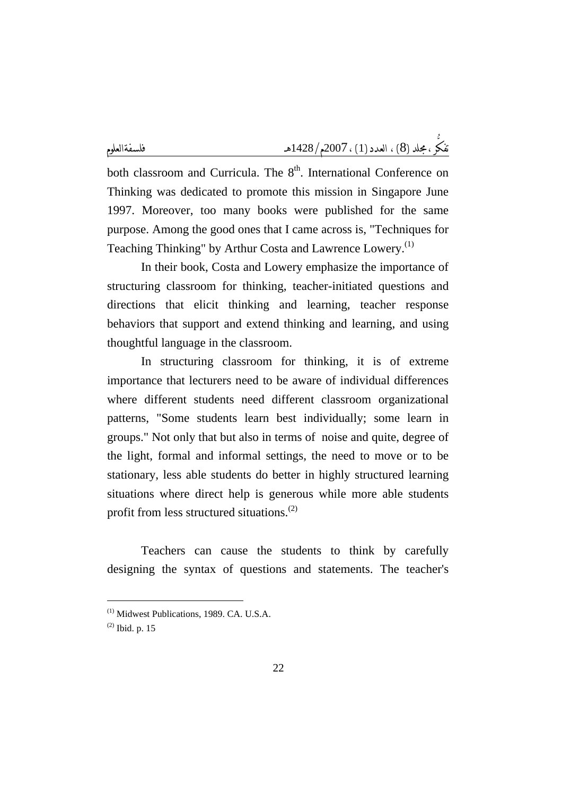both classroom and Curricula. The  $8<sup>th</sup>$ . International Conference on Thinking was dedicated to promote this mission in Singapore June 1997. Moreover, too many books were published for the same purpose. Among the good ones that I came across is, "Techniques for Teaching Thinking" by Arthur Costa and Lawrence Lowery.<sup>(1)</sup>

In their book, Costa and Lowery emphasize the importance of structuring classroom for thinking, teacher-initiated questions and directions that elicit thinking and learning, teacher response behaviors that support and extend thinking and learning, and using thoughtful language in the classroom.

In structuring classroom for thinking, it is of extreme importance that lecturers need to be aware of individual differences where different students need different classroom organizational patterns, "Some students learn best individually; some learn in groups." Not only that but also in terms of noise and quite, degree of the light, formal and informal settings, the need to move or to be stationary, less able students do better in highly structured learning situations where direct help is generous while more able students profit from less structured situations.(2)

Teachers can cause the students to think by carefully designing the syntax of questions and statements. The teacher's

<sup>(1)</sup> Midwest Publications, 1989. CA. U.S.A.

 $^{(2)}$  Ibid. p. 15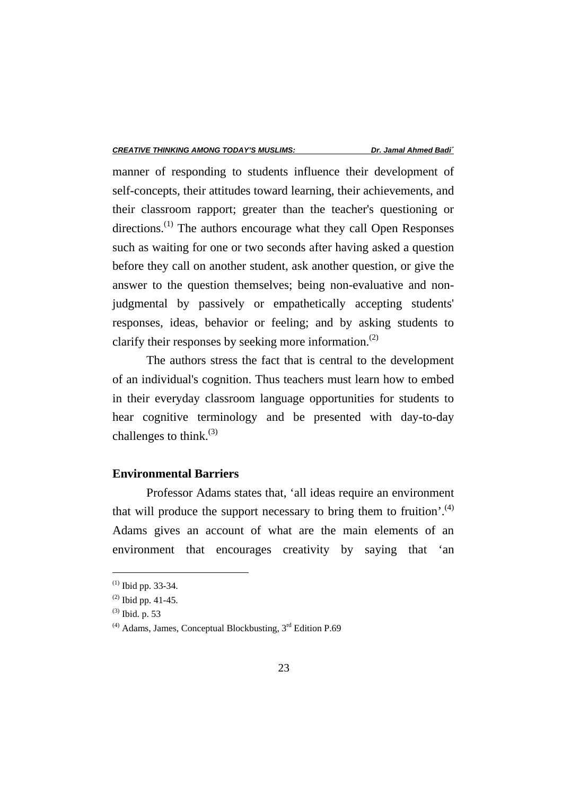manner of responding to students influence their development of self-concepts, their attitudes toward learning, their achievements, and their classroom rapport; greater than the teacher's questioning or directions.<sup>(1)</sup> The authors encourage what they call Open Responses such as waiting for one or two seconds after having asked a question before they call on another student, ask another question, or give the answer to the question themselves; being non-evaluative and nonjudgmental by passively or empathetically accepting students' responses, ideas, behavior or feeling; and by asking students to clarify their responses by seeking more information.<sup>(2)</sup>

The authors stress the fact that is central to the development of an individual's cognition. Thus teachers must learn how to embed in their everyday classroom language opportunities for students to hear cognitive terminology and be presented with day-to-day challenges to think.<sup>(3)</sup>

## **Environmental Barriers**

Professor Adams states that, 'all ideas require an environment that will produce the support necessary to bring them to fruition'.<sup>(4)</sup> Adams gives an account of what are the main elements of an environment that encourages creativity by saying that 'an

 $(1)$  Ibid pp. 33-34.

 $^{(2)}$  Ibid pp. 41-45.

 $^{(3)}$  Ibid. p. 53

 $(4)$  Adams, James, Conceptual Blockbusting,  $3<sup>rd</sup>$  Edition P.69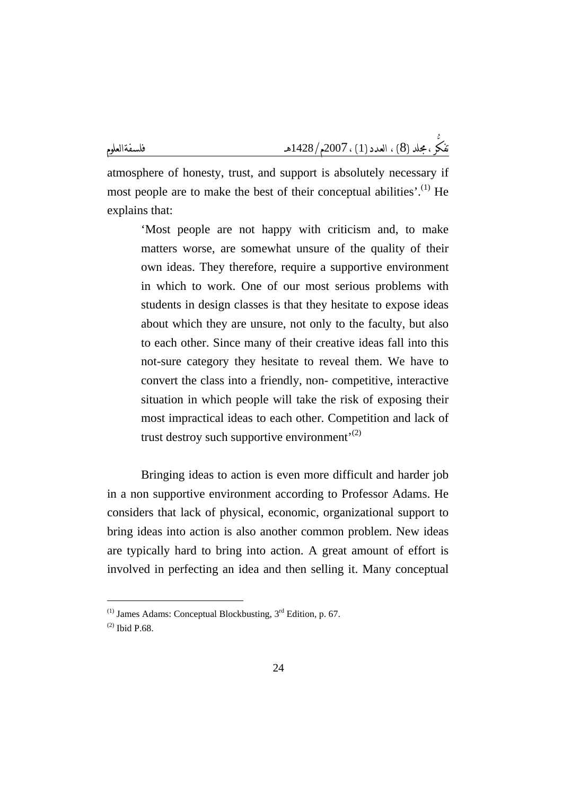atmosphere of honesty, trust, and support is absolutely necessary if most people are to make the best of their conceptual abilities'.<sup>(1)</sup> He explains that:

'Most people are not happy with criticism and, to make matters worse, are somewhat unsure of the quality of their own ideas. They therefore, require a supportive environment in which to work. One of our most serious problems with students in design classes is that they hesitate to expose ideas about which they are unsure, not only to the faculty, but also to each other. Since many of their creative ideas fall into this not-sure category they hesitate to reveal them. We have to convert the class into a friendly, non- competitive, interactive situation in which people will take the risk of exposing their most impractical ideas to each other. Competition and lack of trust destroy such supportive environment<sup> $(2)$ </sup>

Bringing ideas to action is even more difficult and harder job in a non supportive environment according to Professor Adams. He considers that lack of physical, economic, organizational support to bring ideas into action is also another common problem. New ideas are typically hard to bring into action. A great amount of effort is involved in perfecting an idea and then selling it. Many conceptual

 $(1)$  James Adams: Conceptual Blockbusting,  $3<sup>rd</sup>$  Edition, p. 67.

 $(2)$  Ibid P.68.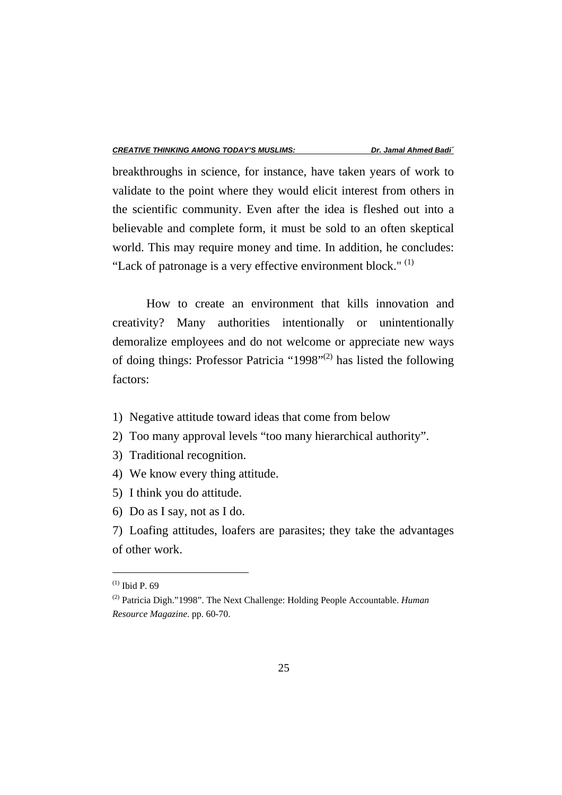breakthroughs in science, for instance, have taken years of work to validate to the point where they would elicit interest from others in the scientific community. Even after the idea is fleshed out into a believable and complete form, it must be sold to an often skeptical world. This may require money and time. In addition, he concludes: "Lack of patronage is a very effective environment block." $(1)$ 

How to create an environment that kills innovation and creativity? Many authorities intentionally or unintentionally demoralize employees and do not welcome or appreciate new ways of doing things: Professor Patricia "1998"(2) has listed the following factors:

- 1) Negative attitude toward ideas that come from below
- 2) Too many approval levels "too many hierarchical authority".
- 3) Traditional recognition.
- 4) We know every thing attitude.
- 5) I think you do attitude.
- 6) Do as I say, not as I do.
- 7) Loafing attitudes, loafers are parasites; they take the advantages of other work.

 $(1)$  Ibid P. 69

<sup>(2)</sup> Patricia Digh."1998". The Next Challenge: Holding People Accountable. *Human Resource Magazine*. pp. 60-70.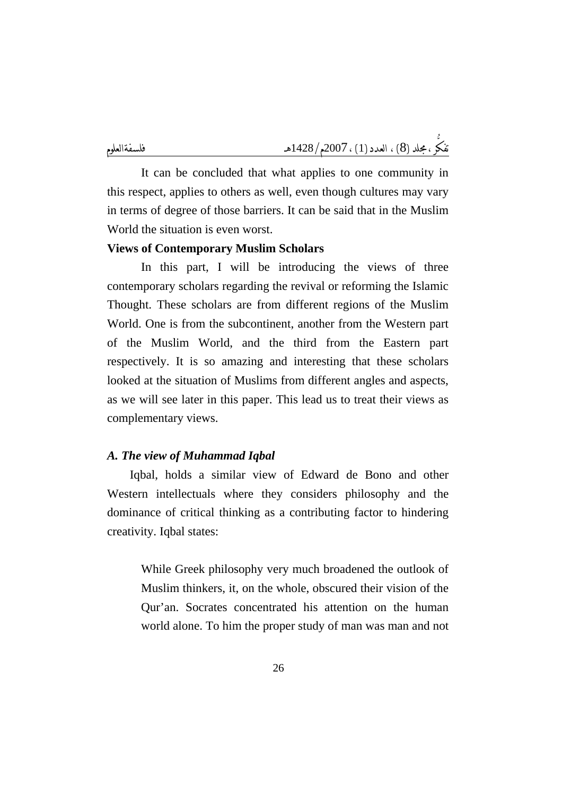It can be concluded that what applies to one community in this respect, applies to others as well, even though cultures may vary in terms of degree of those barriers. It can be said that in the Muslim World the situation is even worst.

## **Views of Contemporary Muslim Scholars**

In this part, I will be introducing the views of three contemporary scholars regarding the revival or reforming the Islamic Thought. These scholars are from different regions of the Muslim World. One is from the subcontinent, another from the Western part of the Muslim World, and the third from the Eastern part respectively. It is so amazing and interesting that these scholars looked at the situation of Muslims from different angles and aspects, as we will see later in this paper. This lead us to treat their views as complementary views.

#### *A. The view of Muhammad Iqbal*

Iqbal, holds a similar view of Edward de Bono and other Western intellectuals where they considers philosophy and the dominance of critical thinking as a contributing factor to hindering creativity. Iqbal states:

While Greek philosophy very much broadened the outlook of Muslim thinkers, it, on the whole, obscured their vision of the Qur'an. Socrates concentrated his attention on the human world alone. To him the proper study of man was man and not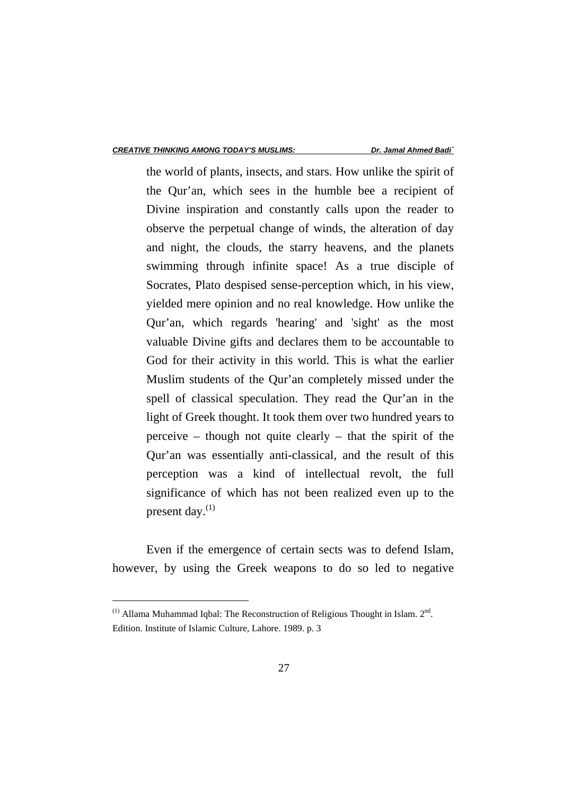the world of plants, insects, and stars. How unlike the spirit of the Qur'an, which sees in the humble bee a recipient of Divine inspiration and constantly calls upon the reader to observe the perpetual change of winds, the alteration of day and night, the clouds, the starry heavens, and the planets swimming through infinite space! As a true disciple of Socrates, Plato despised sense-perception which, in his view, yielded mere opinion and no real knowledge. How unlike the Qur'an, which regards 'hearing' and 'sight' as the most valuable Divine gifts and declares them to be accountable to God for their activity in this world. This is what the earlier Muslim students of the Qur'an completely missed under the spell of classical speculation. They read the Qur'an in the light of Greek thought. It took them over two hundred years to perceive – though not quite clearly – that the spirit of the Qur'an was essentially anti-classical, and the result of this perception was a kind of intellectual revolt, the full significance of which has not been realized even up to the present day. $^{(1)}$ 

Even if the emergence of certain sects was to defend Islam, however, by using the Greek weapons to do so led to negative

 $<sup>(1)</sup>$  Allama Muhammad Iqbal: The Reconstruction of Religious Thought in Islam.  $2<sup>nd</sup>$ .</sup> Edition. Institute of Islamic Culture, Lahore. 1989. p. 3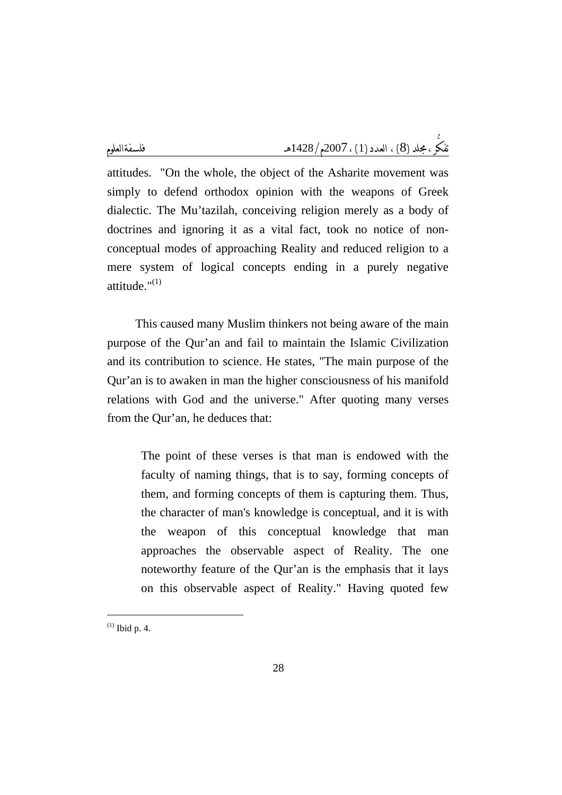attitudes. "On the whole, the object of the Asharite movement was simply to defend orthodox opinion with the weapons of Greek dialectic. The Mu'tazilah, conceiving religion merely as a body of doctrines and ignoring it as a vital fact, took no notice of nonconceptual modes of approaching Reality and reduced religion to a mere system of logical concepts ending in a purely negative attitude." $(1)$ 

This caused many Muslim thinkers not being aware of the main purpose of the Qur'an and fail to maintain the Islamic Civilization and its contribution to science. He states, "The main purpose of the Qur'an is to awaken in man the higher consciousness of his manifold relations with God and the universe." After quoting many verses from the Qur'an, he deduces that:

The point of these verses is that man is endowed with the faculty of naming things, that is to say, forming concepts of them, and forming concepts of them is capturing them. Thus, the character of man's knowledge is conceptual, and it is with the weapon of this conceptual knowledge that man approaches the observable aspect of Reality. The one noteworthy feature of the Qur'an is the emphasis that it lays on this observable aspect of Reality." Having quoted few

 $(1)$  Ibid p. 4.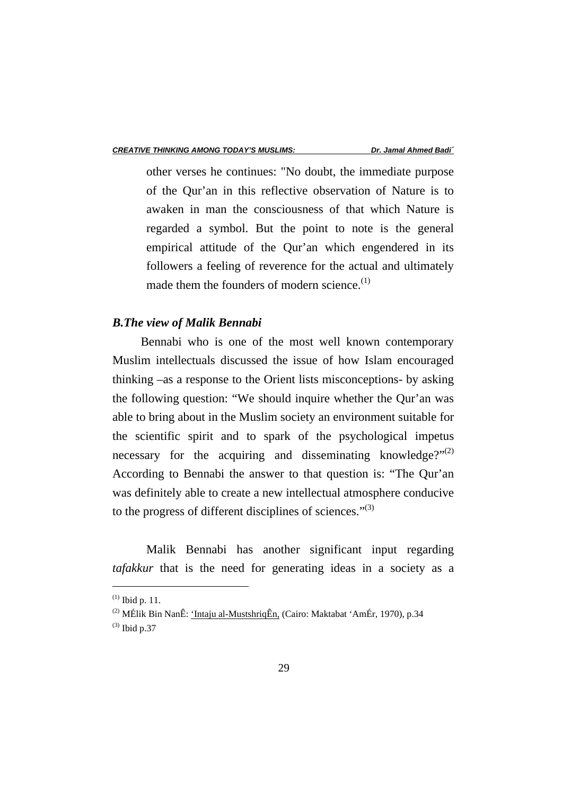other verses he continues: "No doubt, the immediate purpose of the Qur'an in this reflective observation of Nature is to awaken in man the consciousness of that which Nature is regarded a symbol. But the point to note is the general empirical attitude of the Qur'an which engendered in its followers a feeling of reverence for the actual and ultimately made them the founders of modern science. $(1)$ 

#### *B.The view of Malik Bennabi*

Bennabi who is one of the most well known contemporary Muslim intellectuals discussed the issue of how Islam encouraged thinking –as a response to the Orient lists misconceptions- by asking the following question: "We should inquire whether the Qur'an was able to bring about in the Muslim society an environment suitable for the scientific spirit and to spark of the psychological impetus necessary for the acquiring and disseminating knowledge?" $^{(2)}$ According to Bennabi the answer to that question is: "The Qur'an was definitely able to create a new intellectual atmosphere conducive to the progress of different disciplines of sciences." $(3)$ 

 Malik Bennabi has another significant input regarding *tafakkur* that is the need for generating ideas in a society as a

 $^{(1)}$  Ibid p. 11.

<sup>(2)</sup> MÉlik Bin NanÊ: 'Intaju al-MustshriqÊn, (Cairo: Maktabat 'AmÉr, 1970), p.34

 $^{(3)}$  Ibid p.37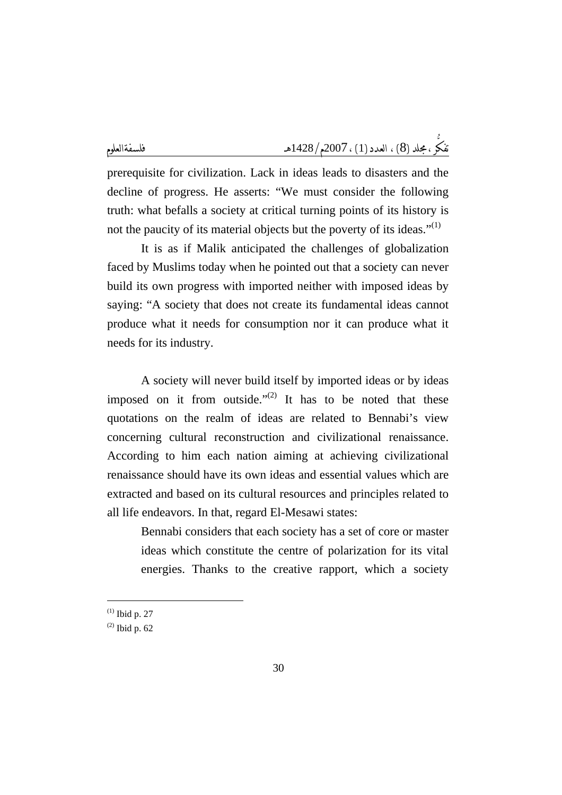prerequisite for civilization. Lack in ideas leads to disasters and the decline of progress. He asserts: "We must consider the following truth: what befalls a society at critical turning points of its history is not the paucity of its material objects but the poverty of its ideas." $(1)$ 

 It is as if Malik anticipated the challenges of globalization faced by Muslims today when he pointed out that a society can never build its own progress with imported neither with imposed ideas by saying: "A society that does not create its fundamental ideas cannot produce what it needs for consumption nor it can produce what it needs for its industry.

 A society will never build itself by imported ideas or by ideas imposed on it from outside."<sup>(2)</sup> It has to be noted that these quotations on the realm of ideas are related to Bennabi's view concerning cultural reconstruction and civilizational renaissance. According to him each nation aiming at achieving civilizational renaissance should have its own ideas and essential values which are extracted and based on its cultural resources and principles related to all life endeavors. In that, regard El-Mesawi states:

Bennabi considers that each society has a set of core or master ideas which constitute the centre of polarization for its vital energies. Thanks to the creative rapport, which a society

 $(1)$  Ibid p. 27

<sup>(2)</sup> Ibid p. 62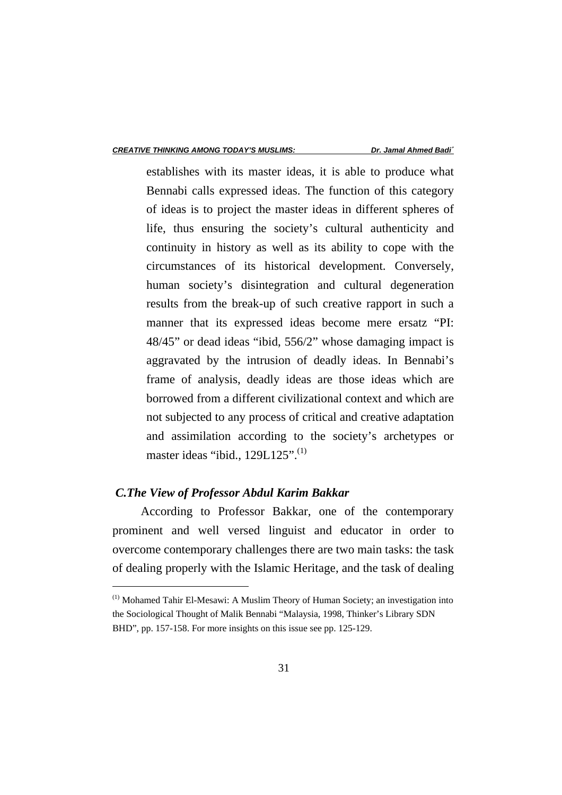establishes with its master ideas, it is able to produce what Bennabi calls expressed ideas. The function of this category of ideas is to project the master ideas in different spheres of life, thus ensuring the society's cultural authenticity and continuity in history as well as its ability to cope with the circumstances of its historical development. Conversely, human society's disintegration and cultural degeneration results from the break-up of such creative rapport in such a manner that its expressed ideas become mere ersatz "PI: 48/45" or dead ideas "ibid, 556/2" whose damaging impact is aggravated by the intrusion of deadly ideas. In Bennabi's frame of analysis, deadly ideas are those ideas which are borrowed from a different civilizational context and which are not subjected to any process of critical and creative adaptation and assimilation according to the society's archetypes or master ideas "ibid., 129L125".<sup>(1)</sup>

#### *C.The View of Professor Abdul Karim Bakkar*

 $\overline{a}$ 

According to Professor Bakkar, one of the contemporary prominent and well versed linguist and educator in order to overcome contemporary challenges there are two main tasks: the task of dealing properly with the Islamic Heritage, and the task of dealing

<sup>(1)</sup> Mohamed Tahir El-Mesawi: A Muslim Theory of Human Society; an investigation into the Sociological Thought of Malik Bennabi "Malaysia, 1998, Thinker's Library SDN BHD", pp. 157-158. For more insights on this issue see pp. 125-129.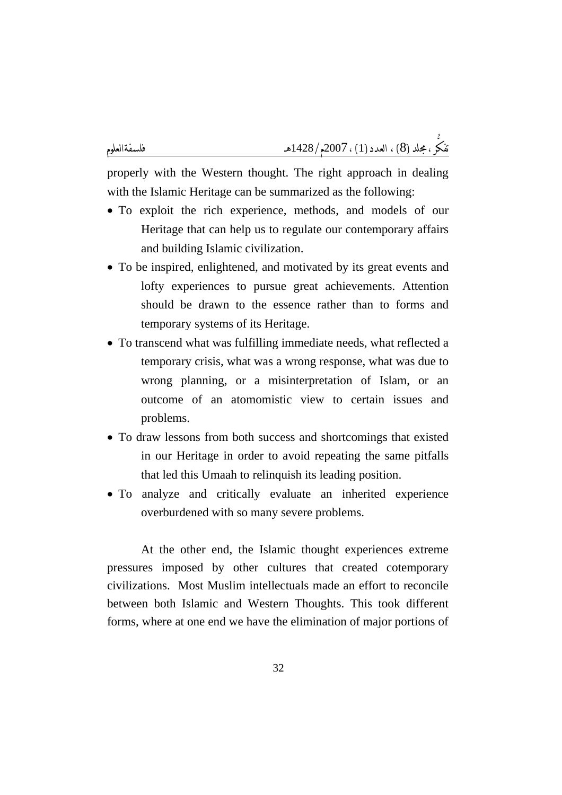properly with the Western thought. The right approach in dealing with the Islamic Heritage can be summarized as the following:

- To exploit the rich experience, methods, and models of our Heritage that can help us to regulate our contemporary affairs and building Islamic civilization.
- To be inspired, enlightened, and motivated by its great events and lofty experiences to pursue great achievements. Attention should be drawn to the essence rather than to forms and temporary systems of its Heritage.
- To transcend what was fulfilling immediate needs, what reflected a temporary crisis, what was a wrong response, what was due to wrong planning, or a misinterpretation of Islam, or an outcome of an atomomistic view to certain issues and problems.
- To draw lessons from both success and shortcomings that existed in our Heritage in order to avoid repeating the same pitfalls that led this Umaah to relinquish its leading position.
- To analyze and critically evaluate an inherited experience overburdened with so many severe problems.

At the other end, the Islamic thought experiences extreme pressures imposed by other cultures that created cotemporary civilizations. Most Muslim intellectuals made an effort to reconcile between both Islamic and Western Thoughts. This took different forms, where at one end we have the elimination of major portions of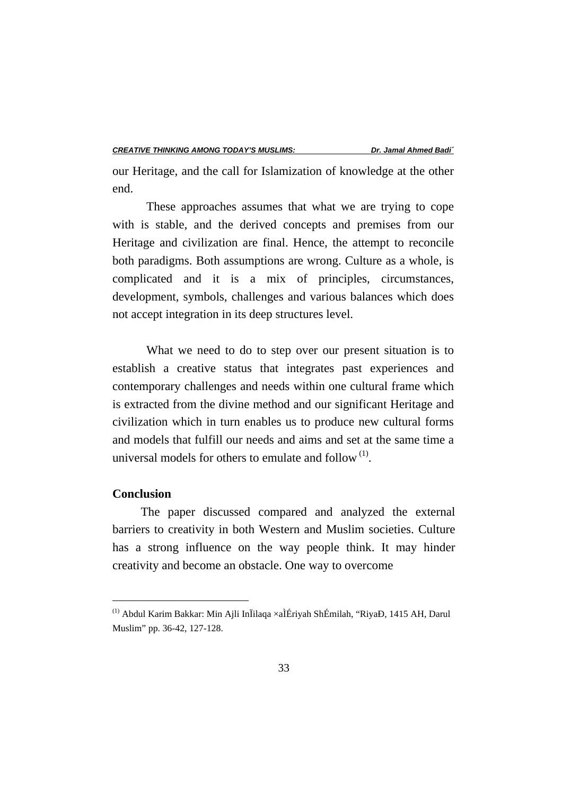our Heritage, and the call for Islamization of knowledge at the other end.

These approaches assumes that what we are trying to cope with is stable, and the derived concepts and premises from our Heritage and civilization are final. Hence, the attempt to reconcile both paradigms. Both assumptions are wrong. Culture as a whole, is complicated and it is a mix of principles, circumstances, development, symbols, challenges and various balances which does not accept integration in its deep structures level.

What we need to do to step over our present situation is to establish a creative status that integrates past experiences and contemporary challenges and needs within one cultural frame which is extracted from the divine method and our significant Heritage and civilization which in turn enables us to produce new cultural forms and models that fulfill our needs and aims and set at the same time a universal models for others to emulate and follow  $(1)$ .

#### **Conclusion**

 $\overline{a}$ 

The paper discussed compared and analyzed the external barriers to creativity in both Western and Muslim societies. Culture has a strong influence on the way people think. It may hinder creativity and become an obstacle. One way to overcome

<sup>(1)</sup> Abdul Karim Bakkar: Min Ajli InÏilaqa ×aÌÉriyah ShÉmilah, "RiyaÐ, 1415 AH, Darul Muslim" pp. 36-42, 127-128.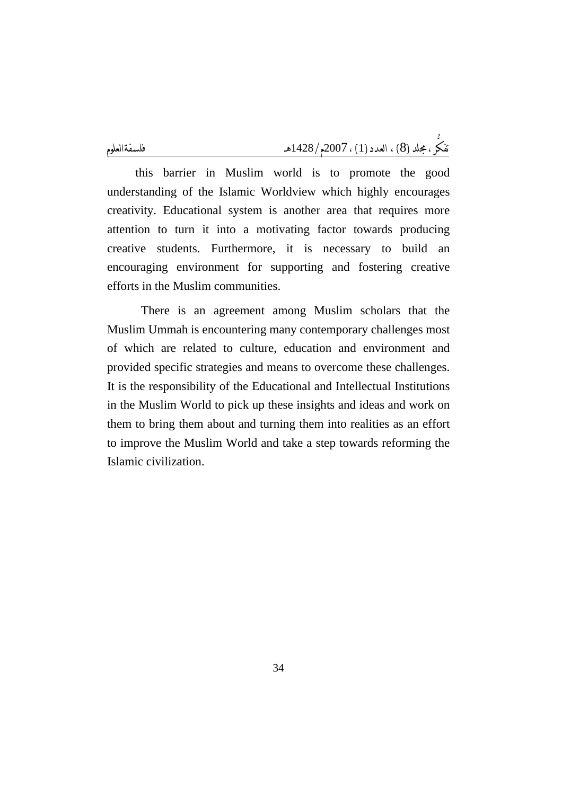this barrier in Muslim world is to promote the good understanding of the Islamic Worldview which highly encourages creativity. Educational system is another area that requires more attention to turn it into a motivating factor towards producing creative students. Furthermore, it is necessary to build an encouraging environment for supporting and fostering creative efforts in the Muslim communities.

There is an agreement among Muslim scholars that the Muslim Ummah is encountering many contemporary challenges most of which are related to culture, education and environment and provided specific strategies and means to overcome these challenges. It is the responsibility of the Educational and Intellectual Institutions in the Muslim World to pick up these insights and ideas and work on them to bring them about and turning them into realities as an effort to improve the Muslim World and take a step towards reforming the Islamic civilization.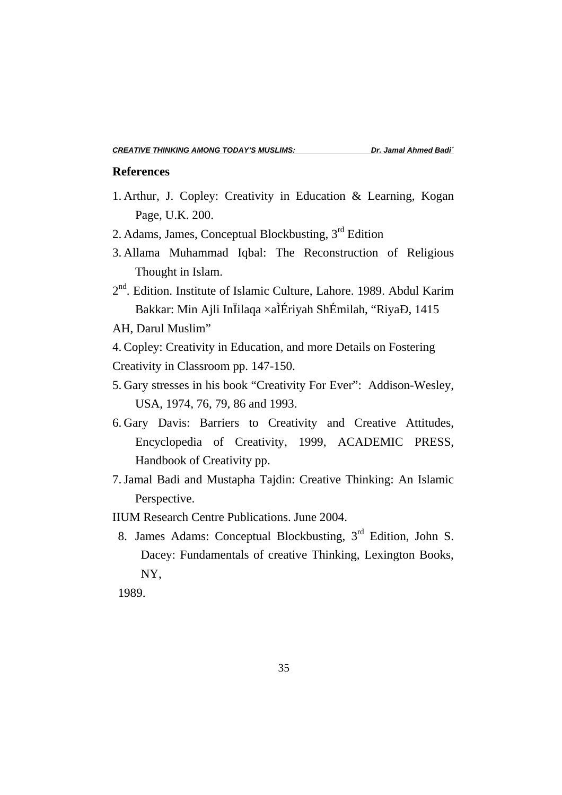## **References**

- 1. Arthur, J. Copley: Creativity in Education & Learning, Kogan Page, U.K. 200.
- 2. Adams, James, Conceptual Blockbusting,  $3<sup>rd</sup>$  Edition
- 3. Allama Muhammad Iqbal: The Reconstruction of Religious Thought in Islam.
- 2<sup>nd</sup>. Edition. Institute of Islamic Culture, Lahore. 1989. Abdul Karim Bakkar: Min Ajli InÏilaqa ×aÌÉriyah ShÉmilah, "RiyaÐ, 1415
- AH, Darul Muslim"

4. Copley: Creativity in Education, and more Details on Fostering Creativity in Classroom pp. 147-150.

- 5. Gary stresses in his book "Creativity For Ever": Addison-Wesley, USA, 1974, 76, 79, 86 and 1993.
- 6. Gary Davis: Barriers to Creativity and Creative Attitudes, Encyclopedia of Creativity, 1999, ACADEMIC PRESS, Handbook of Creativity pp.
- 7.Jamal Badi and Mustapha Tajdin: Creative Thinking: An Islamic Perspective.
- IIUM Research Centre Publications. June 2004.
- 8. James Adams: Conceptual Blockbusting, 3rd Edition, John S. Dacey: Fundamentals of creative Thinking, Lexington Books, NY,

1989.